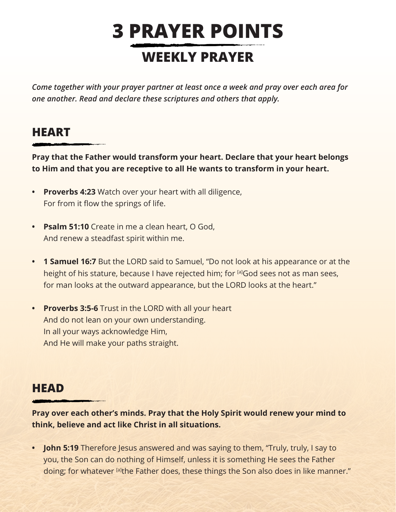## **3 PRAYER POINTS WEEKLY PRAYER**

*Come together with your prayer partner at least once a week and pray over each area for one another. Read and declare these scriptures and others that apply.*

## **HEART**

**Pray that the Father would transform your heart. Declare that your heart belongs to Him and that you are receptive to all He wants to transform in your heart.**

- **• Proverbs 4:23** Watch over your heart with all diligence, For from it flow the springs of life.
- **• Psalm 51:10** Create in me a clean heart, O God, And renew a steadfast spirit within me.
- **• 1 Samuel 16:7** But the LORD said to Samuel, "Do not look at his appearance or at the height of his stature, because I have rejected him; for [a]God sees not as man sees, for man looks at the outward appearance, but the LORD looks at the heart."
- **• Proverbs 3:5-6** Trust in the LORD with all your heart And do not lean on your own understanding. In all your ways acknowledge Him, And He will make your paths straight.

## **HEAD**

**Pray over each other's minds. Pray that the Holy Spirit would renew your mind to think, believe and act like Christ in all situations.**

**• John 5:19** Therefore Jesus answered and was saying to them, "Truly, truly, I say to you, the Son can do nothing of Himself, unless it is something He sees the Father doing; for whatever <sup>[a]</sup>the Father does, these things the Son also does in like manner."